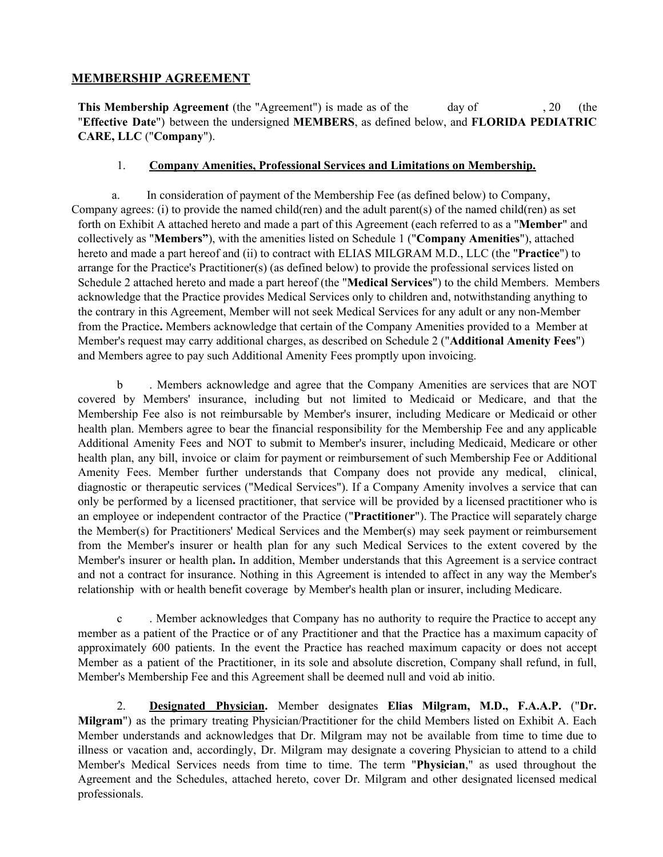### **MEMBERSHIP AGREEMENT**

**This Membership Agreement** (the "Agreement") is made as of the day of , 20 (the "**Effective Date**") between the undersigned **MEMBERS**, as defined below, and **FLORIDA PEDIATRIC CARE, LLC** ("**Company**").

#### 1. **Company Amenities, Professional Services and Limitations on Membership.**

a. In consideration of payment of the Membership Fee (as defined below) to Company, Company agrees: (i) to provide the named child(ren) and the adult parent(s) of the named child(ren) as set forth on Exhibit A attached hereto and made a part of this Agreement (each referred to as a "**Member**" and collectively as "**Members"**), with the amenities listed on Schedule 1 ("**Company Amenities**"), attached hereto and made a part hereof and (ii) to contract with ELIAS MILGRAM M.D., LLC (the "**Practice**") to arrange for the Practice's Practitioner(s) (as defined below) to provide the professional services listed on Schedule 2 attached hereto and made a part hereof (the "**Medical Services**") to the child Members. Members acknowledge that the Practice provides Medical Services only to children and, notwithstanding anything to the contrary in this Agreement, Member will not seek Medical Services for any adult or any non-Member from the Practice**.** Members acknowledge that certain of the Company Amenities provided to a Member at Member's request may carry additional charges, as described on Schedule 2 ("**Additional Amenity Fees**") and Members agree to pay such Additional Amenity Fees promptly upon invoicing.

b . Members acknowledge and agree that the Company Amenities are services that are NOT covered by Members' insurance, including but not limited to Medicaid or Medicare, and that the Membership Fee also is not reimbursable by Member's insurer, including Medicare or Medicaid or other health plan. Members agree to bear the financial responsibility for the Membership Fee and any applicable Additional Amenity Fees and NOT to submit to Member's insurer, including Medicaid, Medicare or other health plan, any bill, invoice or claim for payment or reimbursement of such Membership Fee or Additional Amenity Fees. Member further understands that Company does not provide any medical, clinical, diagnostic or therapeutic services ("Medical Services"). If a Company Amenity involves a service that can only be performed by a licensed practitioner, that service will be provided by a licensed practitioner who is an employee or independent contractor of the Practice ("**Practitioner**"). The Practice will separately charge the Member(s) for Practitioners' Medical Services and the Member(s) may seek payment or reimbursement from the Member's insurer or health plan for any such Medical Services to the extent covered by the Member's insurer or health plan**.** In addition, Member understands that this Agreement is a service contract and not a contract for insurance. Nothing in this Agreement is intended to affect in any way the Member's relationship with or health benefit coverage by Member's health plan or insurer, including Medicare.

c . Member acknowledges that Company has no authority to require the Practice to accept any member as a patient of the Practice or of any Practitioner and that the Practice has a maximum capacity of approximately 600 patients. In the event the Practice has reached maximum capacity or does not accept Member as a patient of the Practitioner, in its sole and absolute discretion, Company shall refund, in full, Member's Membership Fee and this Agreement shall be deemed null and void ab initio.

2. **Designated Physician.** Member designates **Elias Milgram, M.D., F.A.A.P.** ("**Dr. Milgram**") as the primary treating Physician/Practitioner for the child Members listed on Exhibit A. Each Member understands and acknowledges that Dr. Milgram may not be available from time to time due to illness or vacation and, accordingly, Dr. Milgram may designate a covering Physician to attend to a child Member's Medical Services needs from time to time. The term "**Physician**," as used throughout the Agreement and the Schedules, attached hereto, cover Dr. Milgram and other designated licensed medical professionals.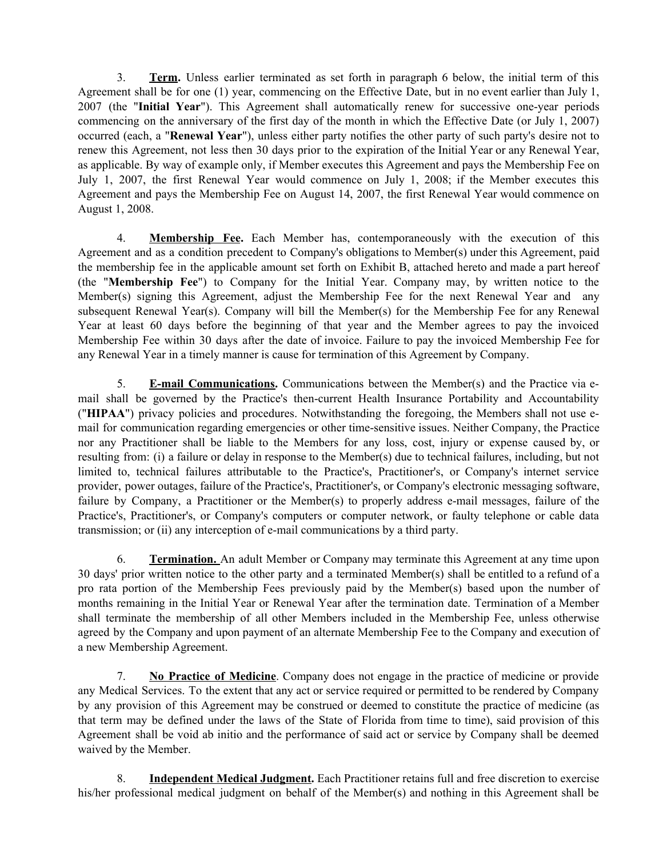3. **Term.** Unless earlier terminated as set forth in paragraph 6 below, the initial term of this Agreement shall be for one (1) year, commencing on the Effective Date, but in no event earlier than July 1, 2007 (the "**Initial Year**"). This Agreement shall automatically renew for successive one-year periods commencing on the anniversary of the first day of the month in which the Effective Date (or July 1, 2007) occurred (each, a "**Renewal Year**"), unless either party notifies the other party of such party's desire not to renew this Agreement, not less then 30 days prior to the expiration of the Initial Year or any Renewal Year, as applicable. By way of example only, if Member executes this Agreement and pays the Membership Fee on July 1, 2007, the first Renewal Year would commence on July 1, 2008; if the Member executes this Agreement and pays the Membership Fee on August 14, 2007, the first Renewal Year would commence on August 1, 2008.

4. **Membership Fee.** Each Member has, contemporaneously with the execution of this Agreement and as a condition precedent to Company's obligations to Member(s) under this Agreement, paid the membership fee in the applicable amount set forth on Exhibit B, attached hereto and made a part hereof (the "**Membership Fee**") to Company for the Initial Year. Company may, by written notice to the Member(s) signing this Agreement, adjust the Membership Fee for the next Renewal Year and any subsequent Renewal Year(s). Company will bill the Member(s) for the Membership Fee for any Renewal Year at least 60 days before the beginning of that year and the Member agrees to pay the invoiced Membership Fee within 30 days after the date of invoice. Failure to pay the invoiced Membership Fee for any Renewal Year in a timely manner is cause for termination of this Agreement by Company.

5. **E-mail Communications.** Communications between the Member(s) and the Practice via email shall be governed by the Practice's then-current Health Insurance Portability and Accountability ("**HIPAA**") privacy policies and procedures. Notwithstanding the foregoing, the Members shall not use email for communication regarding emergencies or other time-sensitive issues. Neither Company, the Practice nor any Practitioner shall be liable to the Members for any loss, cost, injury or expense caused by, or resulting from: (i) a failure or delay in response to the Member(s) due to technical failures, including, but not limited to, technical failures attributable to the Practice's, Practitioner's, or Company's internet service provider, power outages, failure of the Practice's, Practitioner's, or Company's electronic messaging software, failure by Company, a Practitioner or the Member(s) to properly address e-mail messages, failure of the Practice's, Practitioner's, or Company's computers or computer network, or faulty telephone or cable data transmission; or (ii) any interception of e-mail communications by a third party.

6. **Termination.** An adult Member or Company may terminate this Agreement at any time upon 30 days' prior written notice to the other party and a terminated Member(s) shall be entitled to a refund of a pro rata portion of the Membership Fees previously paid by the Member(s) based upon the number of months remaining in the Initial Year or Renewal Year after the termination date. Termination of a Member shall terminate the membership of all other Members included in the Membership Fee, unless otherwise agreed by the Company and upon payment of an alternate Membership Fee to the Company and execution of a new Membership Agreement.

7. **No Practice of Medicine**. Company does not engage in the practice of medicine or provide any Medical Services. To the extent that any act or service required or permitted to be rendered by Company by any provision of this Agreement may be construed or deemed to constitute the practice of medicine (as that term may be defined under the laws of the State of Florida from time to time), said provision of this Agreement shall be void ab initio and the performance of said act or service by Company shall be deemed waived by the Member.

8. **Independent Medical Judgment.** Each Practitioner retains full and free discretion to exercise his/her professional medical judgment on behalf of the Member(s) and nothing in this Agreement shall be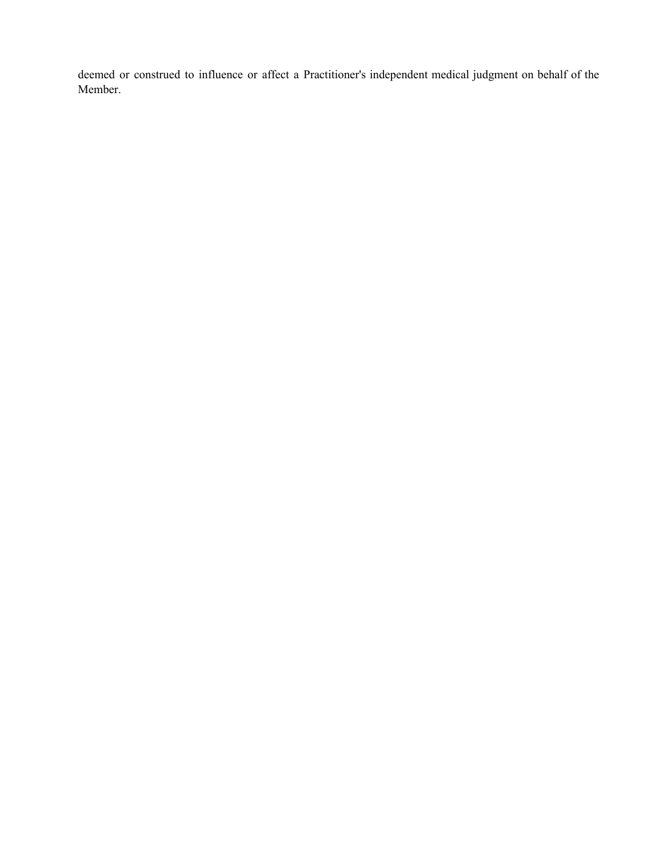deemed or construed to influence or affect a Practitioner's independent medical judgment on behalf of the Member.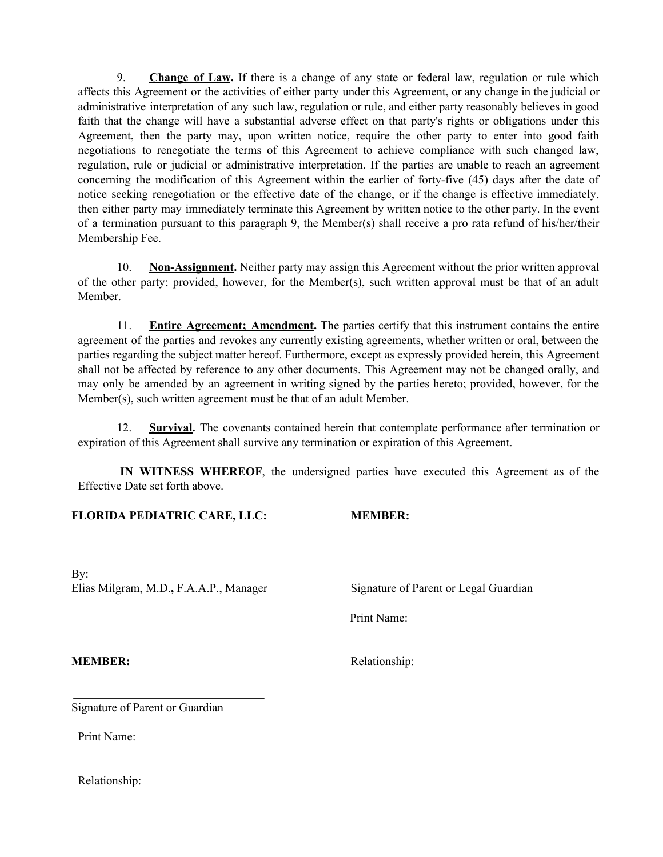9. **Change of Law.** If there is a change of any state or federal law, regulation or rule which affects this Agreement or the activities of either party under this Agreement, or any change in the judicial or administrative interpretation of any such law, regulation or rule, and either party reasonably believes in good faith that the change will have a substantial adverse effect on that party's rights or obligations under this Agreement, then the party may, upon written notice, require the other party to enter into good faith negotiations to renegotiate the terms of this Agreement to achieve compliance with such changed law, regulation, rule or judicial or administrative interpretation. If the parties are unable to reach an agreement concerning the modification of this Agreement within the earlier of forty-five (45) days after the date of notice seeking renegotiation or the effective date of the change, or if the change is effective immediately, then either party may immediately terminate this Agreement by written notice to the other party. In the event of a termination pursuant to this paragraph 9, the Member(s) shall receive a pro rata refund of his/her/their Membership Fee.

10. **Non-Assignment.** Neither party may assign this Agreement without the prior written approval of the other party; provided, however, for the Member(s), such written approval must be that of an adult Member.

11. **Entire Agreement; Amendment.** The parties certify that this instrument contains the entire agreement of the parties and revokes any currently existing agreements, whether written or oral, between the parties regarding the subject matter hereof. Furthermore, except as expressly provided herein, this Agreement shall not be affected by reference to any other documents. This Agreement may not be changed orally, and may only be amended by an agreement in writing signed by the parties hereto; provided, however, for the Member(s), such written agreement must be that of an adult Member.

12. **Survival.** The covenants contained herein that contemplate performance after termination or expiration of this Agreement shall survive any termination or expiration of this Agreement.

**IN WITNESS WHEREOF**, the undersigned parties have executed this Agreement as of the Effective Date set forth above.

#### **FLORIDA PEDIATRIC CARE, LLC: MEMBER:**

By: Elias Milgram, M.D., F.A.A.P., Manager Signature of Parent or Legal Guardian

Print Name:

**MEMBER:** Relationship:

Signature of Parent or Guardian

Print Name:

Relationship: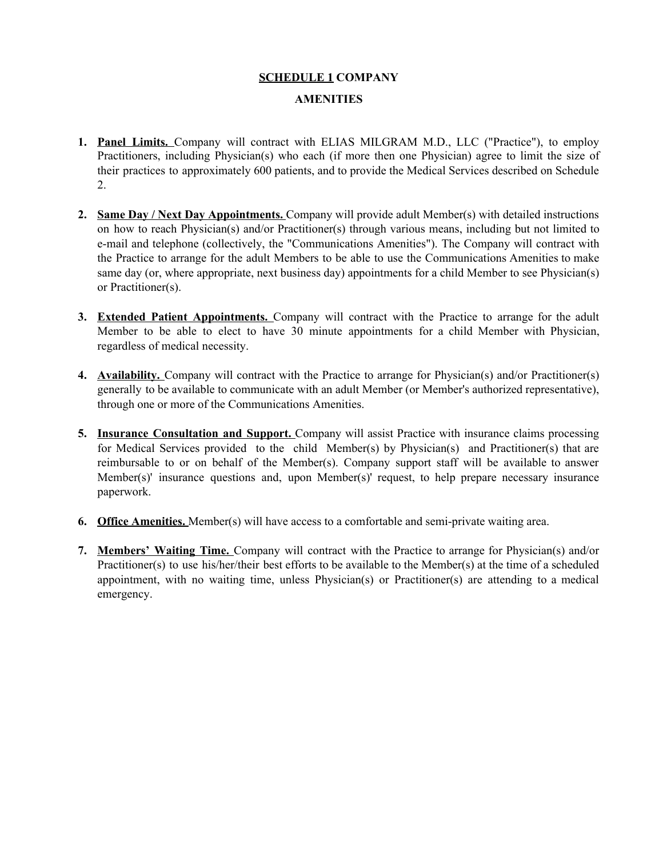# **SCHEDULE 1 COMPANY AMENITIES**

- **1. Panel Limits.** Company will contract with ELIAS MILGRAM M.D., LLC ("Practice"), to employ Practitioners, including Physician(s) who each (if more then one Physician) agree to limit the size of their practices to approximately 600 patients, and to provide the Medical Services described on Schedule 2.
- **2. Same Day / Next Day Appointments.** Company will provide adult Member(s) with detailed instructions on how to reach Physician(s) and/or Practitioner(s) through various means, including but not limited to e-mail and telephone (collectively, the "Communications Amenities"). The Company will contract with the Practice to arrange for the adult Members to be able to use the Communications Amenities to make same day (or, where appropriate, next business day) appointments for a child Member to see Physician(s) or Practitioner(s).
- **3. Extended Patient Appointments.** Company will contract with the Practice to arrange for the adult Member to be able to elect to have 30 minute appointments for a child Member with Physician, regardless of medical necessity.
- **4. Availability.** Company will contract with the Practice to arrange for Physician(s) and/or Practitioner(s) generally to be available to communicate with an adult Member (or Member's authorized representative), through one or more of the Communications Amenities.
- **5. Insurance Consultation and Support.** Company will assist Practice with insurance claims processing for Medical Services provided to the child Member(s) by Physician(s) and Practitioner(s) that are reimbursable to or on behalf of the Member(s). Company support staff will be available to answer Member(s)' insurance questions and, upon Member(s)' request, to help prepare necessary insurance paperwork.
- **6. Office Amenities.** Member(s) will have access to a comfortable and semi-private waiting area.
- **7. Members' Waiting Time.** Company will contract with the Practice to arrange for Physician(s) and/or Practitioner(s) to use his/her/their best efforts to be available to the Member(s) at the time of a scheduled appointment, with no waiting time, unless Physician(s) or Practitioner(s) are attending to a medical emergency.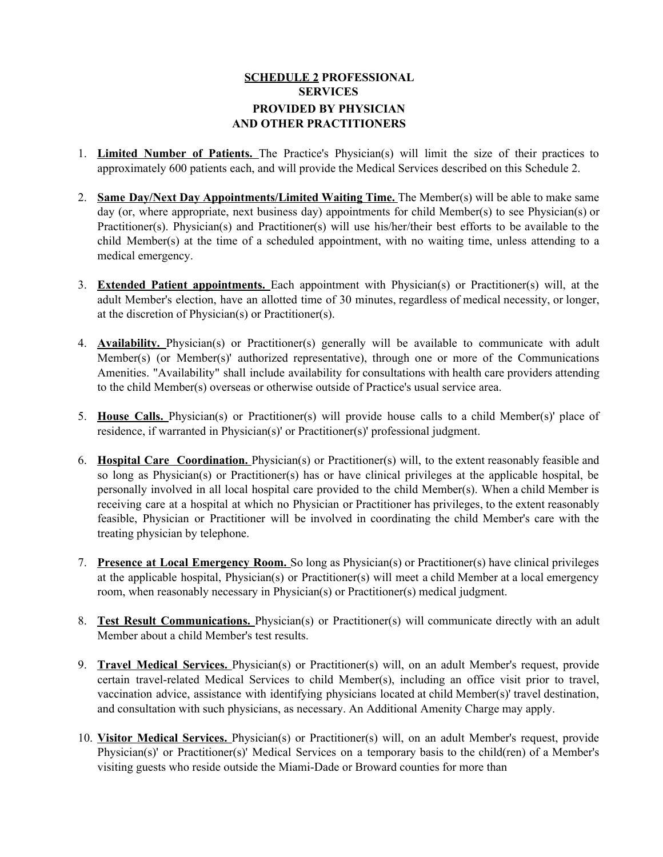### **SCHEDULE 2 PROFESSIONAL SERVICES PROVIDED BY PHYSICIAN AND OTHER PRACTITIONERS**

- 1. **Limited Number of Patients.** The Practice's Physician(s) will limit the size of their practices to approximately 600 patients each, and will provide the Medical Services described on this Schedule 2.
- 2. **Same Day/Next Day Appointments/Limited Waiting Time.** The Member(s) will be able to make same day (or, where appropriate, next business day) appointments for child Member(s) to see Physician(s) or Practitioner(s). Physician(s) and Practitioner(s) will use his/her/their best efforts to be available to the child Member(s) at the time of a scheduled appointment, with no waiting time, unless attending to a medical emergency.
- 3. **Extended Patient appointments.** Each appointment with Physician(s) or Practitioner(s) will, at the adult Member's election, have an allotted time of 30 minutes, regardless of medical necessity, or longer, at the discretion of Physician(s) or Practitioner(s).
- 4. **Availability.** Physician(s) or Practitioner(s) generally will be available to communicate with adult Member(s) (or Member(s)' authorized representative), through one or more of the Communications Amenities. "Availability" shall include availability for consultations with health care providers attending to the child Member(s) overseas or otherwise outside of Practice's usual service area.
- 5. **House Calls.** Physician(s) or Practitioner(s) will provide house calls to a child Member(s)' place of residence, if warranted in Physician(s)' or Practitioner(s)' professional judgment.
- 6. **Hospital Care Coordination.** Physician(s) or Practitioner(s) will, to the extent reasonably feasible and so long as Physician(s) or Practitioner(s) has or have clinical privileges at the applicable hospital, be personally involved in all local hospital care provided to the child Member(s). When a child Member is receiving care at a hospital at which no Physician or Practitioner has privileges, to the extent reasonably feasible, Physician or Practitioner will be involved in coordinating the child Member's care with the treating physician by telephone.
- 7. **Presence at Local Emergency Room.** So long as Physician(s) or Practitioner(s) have clinical privileges at the applicable hospital, Physician(s) or Practitioner(s) will meet a child Member at a local emergency room, when reasonably necessary in Physician(s) or Practitioner(s) medical judgment.
- 8. **Test Result Communications.** Physician(s) or Practitioner(s) will communicate directly with an adult Member about a child Member's test results.
- 9. **Travel Medical Services.** Physician(s) or Practitioner(s) will, on an adult Member's request, provide certain travel-related Medical Services to child Member(s), including an office visit prior to travel, vaccination advice, assistance with identifying physicians located at child Member(s)' travel destination, and consultation with such physicians, as necessary. An Additional Amenity Charge may apply.
- 10. **Visitor Medical Services.** Physician(s) or Practitioner(s) will, on an adult Member's request, provide Physician(s)' or Practitioner(s)' Medical Services on a temporary basis to the child(ren) of a Member's visiting guests who reside outside the Miami-Dade or Broward counties for more than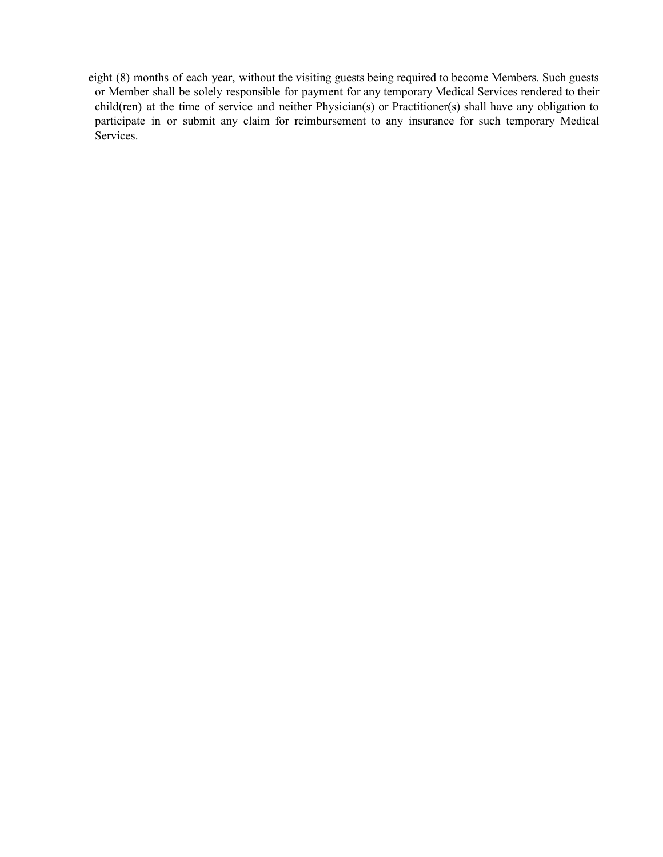eight (8) months of each year, without the visiting guests being required to become Members. Such guests or Member shall be solely responsible for payment for any temporary Medical Services rendered to their child(ren) at the time of service and neither Physician(s) or Practitioner(s) shall have any obligation to participate in or submit any claim for reimbursement to any insurance for such temporary Medical Services.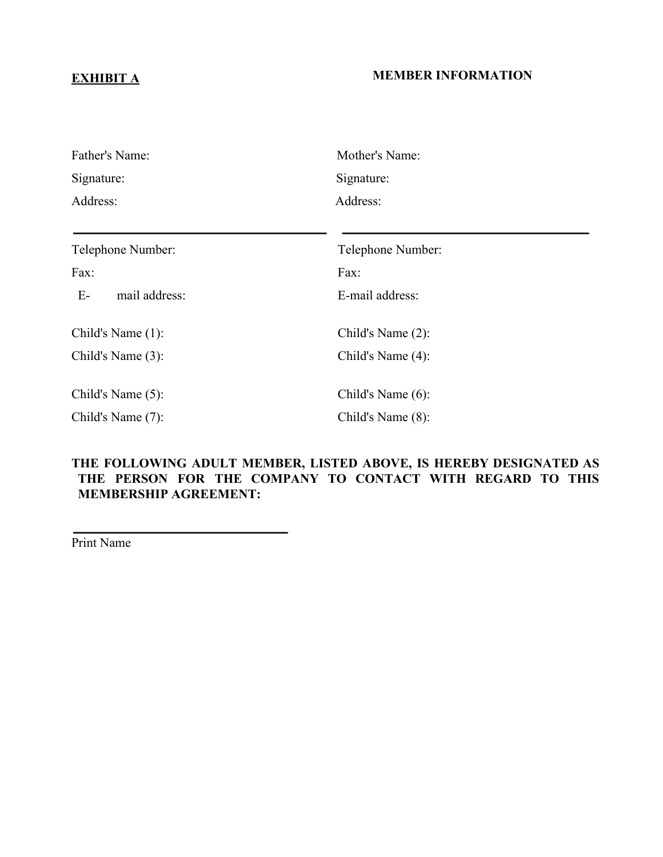## **EXHIBIT A MEMBER INFORMATION**

| Father's Name:        | Mother's Name:    |
|-----------------------|-------------------|
| Signature:            | Signature:        |
| Address:              | Address:          |
|                       |                   |
| Telephone Number:     | Telephone Number: |
| Fax:                  | Fax:              |
| $E-$<br>mail address: | E-mail address:   |
| Child's Name (1):     | Child's Name (2): |
| Child's Name $(3)$ :  | Child's Name (4): |
| Child's Name (5):     | Child's Name (6): |
| Child's Name (7):     | Child's Name (8): |

## **THE FOLLOWING ADULT MEMBER, LISTED ABOVE, IS HEREBY DESIGNATED AS THE PERSON FOR THE COMPANY TO CONTACT WITH REGARD TO THIS MEMBERSHIP AGREEMENT:**

Print Name